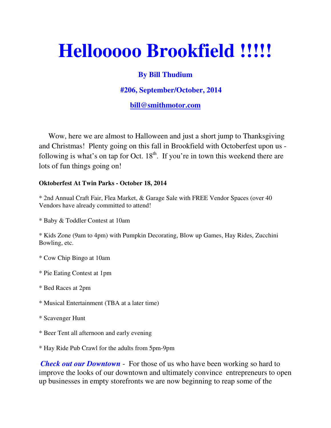# **Hellooooo Brookfield !!!!!**

## **By Bill Thudium**

### **#206, September/October, 2014**

#### **bill@smithmotor.com**

 Wow, here we are almost to Halloween and just a short jump to Thanksgiving and Christmas! Plenty going on this fall in Brookfield with Octoberfest upon us following is what's on tap for Oct.  $18<sup>th</sup>$ . If you're in town this weekend there are lots of fun things going on!

#### **Oktoberfest At Twin Parks - October 18, 2014**

\* 2nd Annual Craft Fair, Flea Market, & Garage Sale with FREE Vendor Spaces (over 40 Vendors have already committed to attend!

\* Baby & Toddler Contest at 10am

\* Kids Zone (9am to 4pm) with Pumpkin Decorating, Blow up Games, Hay Rides, Zucchini Bowling, etc.

- \* Cow Chip Bingo at 10am
- \* Pie Eating Contest at 1pm
- \* Bed Races at 2pm
- \* Musical Entertainment (TBA at a later time)
- \* Scavenger Hunt
- \* Beer Tent all afternoon and early evening

\* Hay Ride Pub Crawl for the adults from 5pm-9pm

*Check out our Downtown* - For those of us who have been working so hard to improve the looks of our downtown and ultimately convince entrepreneurs to open up businesses in empty storefronts we are now beginning to reap some of the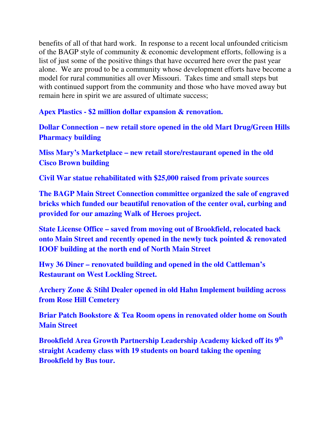benefits of all of that hard work. In response to a recent local unfounded criticism of the BAGP style of community & economic development efforts, following is a list of just some of the positive things that have occurred here over the past year alone. We are proud to be a community whose development efforts have become a model for rural communities all over Missouri. Takes time and small steps but with continued support from the community and those who have moved away but remain here in spirit we are assured of ultimate success;

**Apex Plastics - \$2 million dollar expansion & renovation.** 

**Dollar Connection – new retail store opened in the old Mart Drug/Green Hills Pharmacy building** 

**Miss Mary's Marketplace – new retail store/restaurant opened in the old Cisco Brown building** 

**Civil War statue rehabilitated with \$25,000 raised from private sources** 

**The BAGP Main Street Connection committee organized the sale of engraved bricks which funded our beautiful renovation of the center oval, curbing and provided for our amazing Walk of Heroes project.** 

**State License Office – saved from moving out of Brookfield, relocated back onto Main Street and recently opened in the newly tuck pointed & renovated IOOF building at the north end of North Main Street**

**Hwy 36 Diner – renovated building and opened in the old Cattleman's Restaurant on West Lockling Street.** 

**Archery Zone & Stihl Dealer opened in old Hahn Implement building across from Rose Hill Cemetery** 

**Briar Patch Bookstore & Tea Room opens in renovated older home on South Main Street** 

**Brookfield Area Growth Partnership Leadership Academy kicked off its 9th straight Academy class with 19 students on board taking the opening Brookfield by Bus tour.**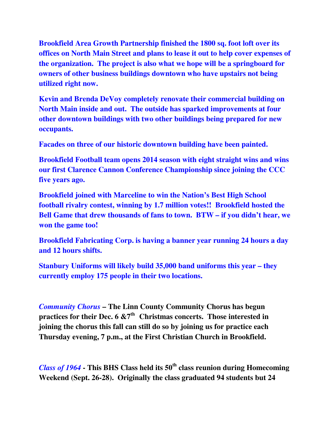**Brookfield Area Growth Partnership finished the 1800 sq. foot loft over its offices on North Main Street and plans to lease it out to help cover expenses of the organization. The project is also what we hope will be a springboard for owners of other business buildings downtown who have upstairs not being utilized right now.** 

**Kevin and Brenda DeVoy completely renovate their commercial building on North Main inside and out. The outside has sparked improvements at four other downtown buildings with two other buildings being prepared for new occupants.** 

**Facades on three of our historic downtown building have been painted.** 

**Brookfield Football team opens 2014 season with eight straight wins and wins our first Clarence Cannon Conference Championship since joining the CCC five years ago.** 

**Brookfield joined with Marceline to win the Nation's Best High School football rivalry contest, winning by 1.7 million votes!! Brookfield hosted the Bell Game that drew thousands of fans to town. BTW – if you didn't hear, we won the game too!** 

**Brookfield Fabricating Corp. is having a banner year running 24 hours a day and 12 hours shifts.** 

**Stanbury Uniforms will likely build 35,000 band uniforms this year – they currently employ 175 people in their two locations.**

*Community Chorus* **– The Linn County Community Chorus has begun practices for their Dec. 6 &7th Christmas concerts. Those interested in joining the chorus this fall can still do so by joining us for practice each Thursday evening, 7 p.m., at the First Christian Church in Brookfield.** 

*Class of 1964* **- This BHS Class held its 50th class reunion during Homecoming Weekend (Sept. 26-28). Originally the class graduated 94 students but 24**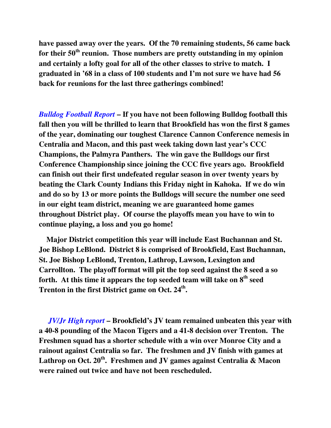**have passed away over the years. Of the 70 remaining students, 56 came back for their 50th reunion. Those numbers are pretty outstanding in my opinion and certainly a lofty goal for all of the other classes to strive to match. I graduated in '68 in a class of 100 students and I'm not sure we have had 56 back for reunions for the last three gatherings combined!** 

*Bulldog Football Report* **– If you have not been following Bulldog football this fall then you will be thrilled to learn that Brookfield has won the first 8 games of the year, dominating our toughest Clarence Cannon Conference nemesis in Centralia and Macon, and this past week taking down last year's CCC Champions, the Palmyra Panthers. The win gave the Bulldogs our first Conference Championship since joining the CCC five years ago. Brookfield can finish out their first undefeated regular season in over twenty years by beating the Clark County Indians this Friday night in Kahoka. If we do win and do so by 13 or more points the Bulldogs will secure the number one seed in our eight team district, meaning we are guaranteed home games throughout District play. Of course the playoffs mean you have to win to continue playing, a loss and you go home!** 

 **Major District competition this year will include East Buchannan and St. Joe Bishop LeBlond. District 8 is comprised of Brookfield, East Buchannan, St. Joe Bishop LeBlond, Trenton, Lathrop, Lawson, Lexington and Carrollton. The playoff format will pit the top seed against the 8 seed a so forth. At this time it appears the top seeded team will take on 8th seed Trenton in the first District game on Oct. 24th .** 

 *JV/Jr High report* **– Brookfield's JV team remained unbeaten this year with a 40-8 pounding of the Macon Tigers and a 41-8 decision over Trenton. The Freshmen squad has a shorter schedule with a win over Monroe City and a rainout against Centralia so far. The freshmen and JV finish with games at Lathrop on Oct. 20th. Freshmen and JV games against Centralia & Macon were rained out twice and have not been rescheduled.**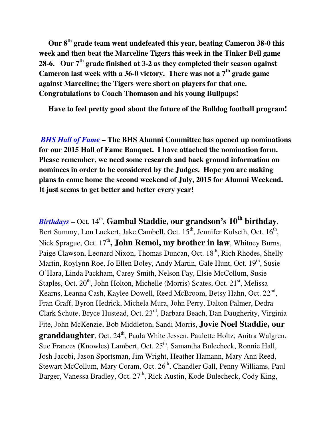**Our 8th grade team went undefeated this year, beating Cameron 38-0 this week and then beat the Marceline Tigers this week in the Tinker Bell game 28-6. Our 7th grade finished at 3-2 as they completed their season against Cameron last week with a 36-0 victory. There was not a 7th grade game against Marceline; the Tigers were short on players for that one. Congratulations to Coach Thomason and his young Bullpups!** 

 **Have to feel pretty good about the future of the Bulldog football program!** 

*BHS Hall of Fame* **– The BHS Alumni Committee has opened up nominations for our 2015 Hall of Fame Banquet. I have attached the nomination form. Please remember, we need some research and back ground information on nominees in order to be considered by the Judges. Hope you are making plans to come home the second weekend of July, 2015 for Alumni Weekend. It just seems to get better and better every year!** 

*Birthdays* **– Oct. 14<sup>th</sup>, Gambal Staddie, our grandson's 10<sup>th</sup> birthday,** Bert Summy, Lon Luckert, Jake Cambell, Oct. 15<sup>th</sup>, Jennifer Kulseth, Oct. 16<sup>th</sup>, Nick Sprague, Oct. 17<sup>th</sup>, **John Remol, my brother in law**, Whitney Burns, Paige Clawson, Leonard Nixon, Thomas Duncan, Oct. 18<sup>th</sup>, Rich Rhodes, Shelly Martin, Roylynn Roe, Jo Ellen Boley, Andy Martin, Gale Hunt, Oct. 19<sup>th</sup>, Susie O'Hara, Linda Packham, Carey Smith, Nelson Fay, Elsie McCollum, Susie Staples, Oct. 20<sup>th</sup>, John Holton, Michelle (Morris) Scates, Oct. 21<sup>st</sup>, Melissa Kearns, Leanna Cash, Kaylee Dowell, Reed McBroom, Betsy Hahn, Oct. 22<sup>nd</sup>, Fran Graff, Byron Hedrick, Michela Mura, John Perry, Dalton Palmer, Dedra Clark Schute, Bryce Hustead, Oct. 23rd, Barbara Beach, Dan Daugherity, Virginia Fite, John McKenzie, Bob Middleton, Sandi Morris, **Jovie Noel Staddie, our granddaughter**, Oct. 24<sup>th</sup>, Paula White Jessen, Paulette Holtz, Anitra Walgren, Sue Frances (Knowles) Lambert, Oct. 25<sup>th</sup>, Samantha Bulecheck, Ronnie Hall, Josh Jacobi, Jason Sportsman, Jim Wright, Heather Hamann, Mary Ann Reed, Stewart McCollum, Mary Coram, Oct. 26<sup>th</sup>, Chandler Gall, Penny Williams, Paul Barger, Vanessa Bradley, Oct. 27<sup>th</sup>, Rick Austin, Kode Bulecheck, Cody King,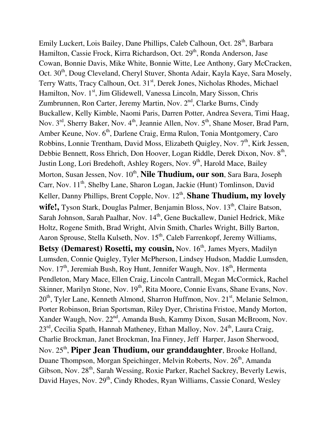Emily Luckert, Lois Bailey, Dane Phillips, Caleb Calhoun, Oct. 28<sup>th</sup>, Barbara Hamilton, Cassie Frock, Kirra Richardson, Oct. 29<sup>th</sup>, Ronda Anderson, Jase Cowan, Bonnie Davis, Mike White, Bonnie Witte, Lee Anthony, Gary McCracken, Oct. 30<sup>th</sup>, Doug Cleveland, Cheryl Stuver, Shonta Adair, Kayla Kaye, Sara Mosely, Terry Watts, Tracy Calhoun, Oct. 31<sup>st</sup>, Derek Jones, Nicholas Rhodes, Michael Hamilton, Nov. 1<sup>st</sup>, Jim Glidewell, Vanessa Lincoln, Mary Sisson, Chris Zumbrunnen, Ron Carter, Jeremy Martin, Nov. 2<sup>nd</sup>, Clarke Burns, Cindy Buckallew, Kelly Kimble, Naomi Paris, Darren Potter, Andrea Severa, Timi Haag, Nov.  $3<sup>rd</sup>$ , Sherry Baker, Nov.  $4<sup>th</sup>$ , Jeannie Allen, Nov.  $5<sup>th</sup>$ , Shane Moser, Brad Parn, Amber Keune, Nov. 6<sup>th</sup>, Darlene Craig, Erma Rulon, Tonia Montgomery, Caro Robbins, Lonnie Trentham, David Moss, Elizabeth Quigley, Nov.  $7<sup>th</sup>$ , Kirk Jessen, Debbie Bennett, Ross Ehrich, Don Hoover, Logan Riddle, Derek Dixon, Nov. 8<sup>th</sup>, Justin Long, Lori Bredehoft, Ashley Rogers, Nov. 9<sup>th</sup>, Harold Mace, Bailey Morton, Susan Jessen, Nov. 10<sup>th</sup>, **Nile Thudium, our son**, Sara Bara, Joseph Carr, Nov.  $11^{th}$ , Shelby Lane, Sharon Logan, Jackie (Hunt) Tomlinson, David Keller, Danny Phillips, Brent Copple, Nov. 12<sup>th</sup>, **Shane Thudium, my lovely** wife!, Tyson Stark, Douglas Palmer, Benjamin Bloss, Nov. 13<sup>th</sup>, Claire Batson, Sarah Johnson, Sarah Paalhar, Nov. 14<sup>th</sup>, Gene Buckallew, Daniel Hedrick, Mike Holtz, Rogene Smith, Brad Wright, Alvin Smith, Charles Wright, Billy Barton, Aaron Sprouse, Stella Kulseth, Nov.  $15<sup>th</sup>$ , Caleb Farrenkopf, Jeremy Williams, **Betsy (Demarest) Rosetti, my cousin, Nov. 16<sup>th</sup>, James Myers, Madilyn** Lumsden, Connie Quigley, Tyler McPherson, Lindsey Hudson, Maddie Lumsden, Nov. 17<sup>th</sup>, Jeremiah Bush, Roy Hunt, Jennifer Waugh, Nov. 18<sup>th</sup>, Hermenta Pendleton, Mary Mace, Ellen Craig, Lincoln Cantrall, Megan McCormick, Rachel Skinner, Marilyn Stone, Nov. 19<sup>th</sup>, Rita Moore, Connie Evans, Shane Evans, Nov.  $20<sup>th</sup>$ , Tyler Lane, Kenneth Almond, Sharron Huffmon, Nov.  $21<sup>st</sup>$ , Melanie Selmon, Porter Robinson, Brian Sportsman, Riley Dyer, Christina Fristoe, Mandy Morton, Xander Waugh, Nov. 22<sup>nd</sup>, Amanda Bush, Kammy Dixon, Susan McBroom, Nov.  $23<sup>rd</sup>$ , Cecilia Spath, Hannah Matheney, Ethan Malloy, Nov.  $24<sup>th</sup>$ , Laura Craig, Charlie Brockman, Janet Brockman, Ina Finney, Jeff Harper, Jason Sherwood, Nov. 25<sup>th</sup>, Piper Jean Thudium, our granddaughter, Brooke Holland, Duane Thompson, Morgan Speichinger, Melvin Roberts, Nov. 26<sup>th</sup>, Amanda Gibson, Nov. 28<sup>th</sup>, Sarah Wessing, Roxie Parker, Rachel Sackrey, Beverly Lewis, David Hayes, Nov. 29<sup>th</sup>, Cindy Rhodes, Ryan Williams, Cassie Conard, Wesley